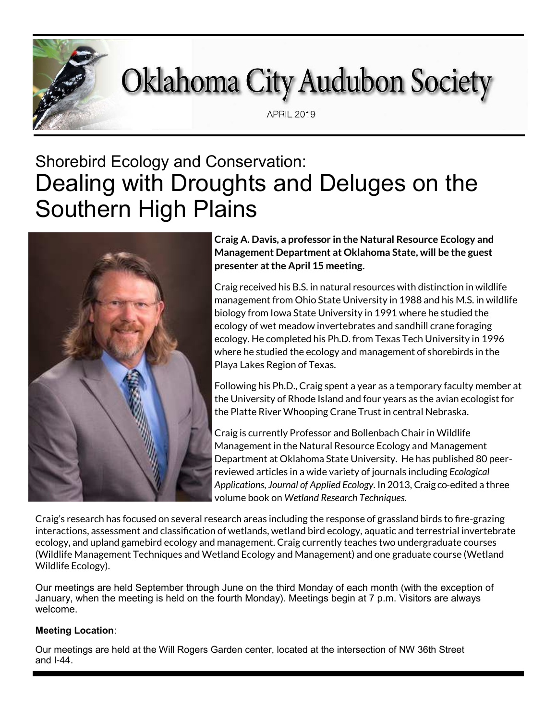# **Oklahoma City Audubon Society**

**APRIL 2019** 

## Shorebird Ecology and Conservation: Dealing with Droughts and Deluges on the Southern High Plains



**Craig A. Davis, a professor in the Natural Resource Ecology and Management Department at Oklahoma State, will be the guest presenter at the April 15 meeting.**

Craig received his B.S. in natural resources with distinction in wildlife management from Ohio State University in 1988 and his M.S. in wildlife biology from Iowa State University in 1991 where he studied the ecology of wet meadow invertebrates and sandhill crane foraging ecology. He completed his Ph.D. from Texas Tech University in 1996 where he studied the ecology and management of shorebirds in the Playa Lakes Region of Texas.

Following his Ph.D., Craig spent a year as a temporary faculty member at the University of Rhode Island and four years as the avian ecologist for the Platte River Whooping Crane Trust in central Nebraska.

Craig is currently Professor and Bollenbach Chair in Wildlife Management in the Natural Resource Ecology and Management Department at Oklahoma State University. He has published 80 peerreviewed articles in a wide variety of journals including *Ecological Applications*, *Journal of Applied Ecology*. In 2013, Craig co-edited a three volume book on *Wetland Research Techniques*.

Craig's research has focused on several research areas including the response of grassland birds to fire-grazing interactions, assessment and classification of wetlands, wetland bird ecology, aquatic and terrestrial invertebrate ecology, and upland gamebird ecology and management. Craig currently teaches two undergraduate courses (Wildlife Management Techniques and Wetland Ecology and Management) and one graduate course (Wetland Wildlife Ecology).

Our meetings are held September through June on the third Monday of each month (with the exception of January, when the meeting is held on the fourth Monday). Meetings begin at 7 p.m. Visitors are always welcome.

#### **Meeting Location**:

Our meetings are held at the Will Rogers Garden center, located at the intersection of NW 36th Street and I-44.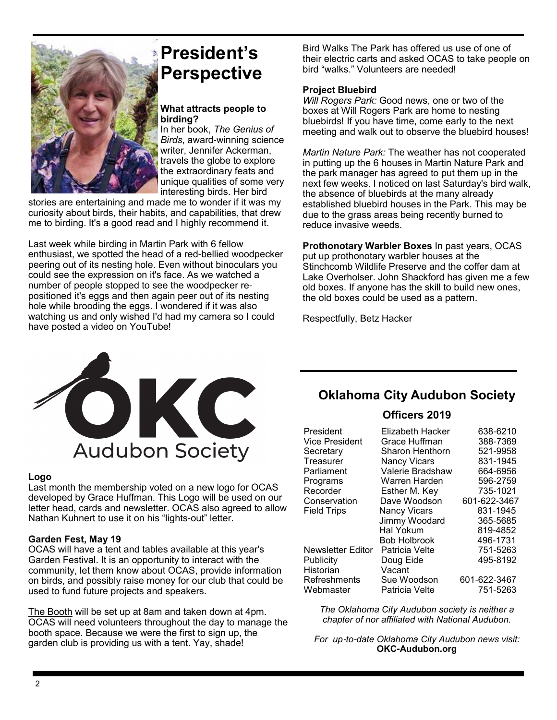

### **President's Perspective**

#### **What attracts people to birding?**

In her book, *The Genius of Birds*, award-winning science writer, Jennifer Ackerman, travels the globe to explore the extraordinary feats and unique qualities of some very interesting birds. Her bird

stories are entertaining and made me to wonder if it was my curiosity about birds, their habits, and capabilities, that drew me to birding. It's a good read and I highly recommend it.

Last week while birding in Martin Park with 6 fellow enthusiast, we spotted the head of a red-bellied woodpecker peering out of its nesting hole. Even without binoculars you could see the expression on it's face. As we watched a number of people stopped to see the woodpecker repositioned it's eggs and then again peer out of its nesting hole while brooding the eggs. I wondered if it was also watching us and only wished I'd had my camera so I could have posted a video on YouTube!

Bird Walks The Park has offered us use of one of their electric carts and asked OCAS to take people on bird "walks." Volunteers are needed!

#### **Project Bluebird**

*Will Rogers Park:* Good news, one or two of the boxes at Will Rogers Park are home to nesting bluebirds! If you have time, come early to the next meeting and walk out to observe the bluebird houses!

*Martin Nature Park:* The weather has not cooperated in putting up the 6 houses in Martin Nature Park and the park manager has agreed to put them up in the next few weeks. I noticed on last Saturday's bird walk, the absence of bluebirds at the many already established bluebird houses in the Park. This may be due to the grass areas being recently burned to reduce invasive weeds.

**Prothonotary Warbler Boxes** In past years, OCAS put up prothonotary warbler houses at the Stinchcomb Wildlife Preserve and the coffer dam at Lake Overholser. John Shackford has given me a few old boxes. If anyone has the skill to build new ones, the old boxes could be used as a pattern.

Respectfully, Betz Hacker



#### **Logo**

Last month the membership voted on a new logo for OCAS developed by Grace Huffman. This Logo will be used on our letter head, cards and newsletter. OCAS also agreed to allow Nathan Kuhnert to use it on his "lights-out" letter.

#### **Garden Fest, May 19**

OCAS will have a tent and tables available at this year's Garden Festival. It is an opportunity to interact with the community, let them know about OCAS, provide information on birds, and possibly raise money for our club that could be used to fund future projects and speakers.

The Booth will be set up at 8am and taken down at 4pm. OCAS will need volunteers throughout the day to manage the booth space. Because we were the first to sign up, the garden club is providing us with a tent. Yay, shade!

#### **Oklahoma City Audubon Society**

#### **Officers 2019**

| President             | Elizabeth Hacker    | 638-6210     |
|-----------------------|---------------------|--------------|
| <b>Vice President</b> | Grace Huffman       | 388-7369     |
| Secretary             | Sharon Henthorn     | 521-9958     |
| Treasurer             | <b>Nancy Vicars</b> | 831-1945     |
| Parliament            | Valerie Bradshaw    | 664-6956     |
| Programs              | Warren Harden       | 596-2759     |
| Recorder              | Esther M. Key       | 735-1021     |
| Conservation          | Dave Woodson        | 601-622-3467 |
| <b>Field Trips</b>    | <b>Nancy Vicars</b> | 831-1945     |
|                       | Jimmy Woodard       | 365-5685     |
|                       | Hal Yokum           | 819-4852     |
|                       | <b>Bob Holbrook</b> | 496-1731     |
| Newsletter Editor     | Patricia Velte      | 751-5263     |
| Publicity             | Doug Eide           | 495-8192     |
| Historian             | Vacant              |              |
| Refreshments          | Sue Woodson         | 601-622-3467 |
| Webmaster             | Patricia Velte      | 751-5263     |

*The Oklahoma City Audubon society is neither a chapter of nor affiliated with National Audubon.*

*For up*-*to*-*date Oklahoma City Audubon news visit:* **OKC-Audubon.org**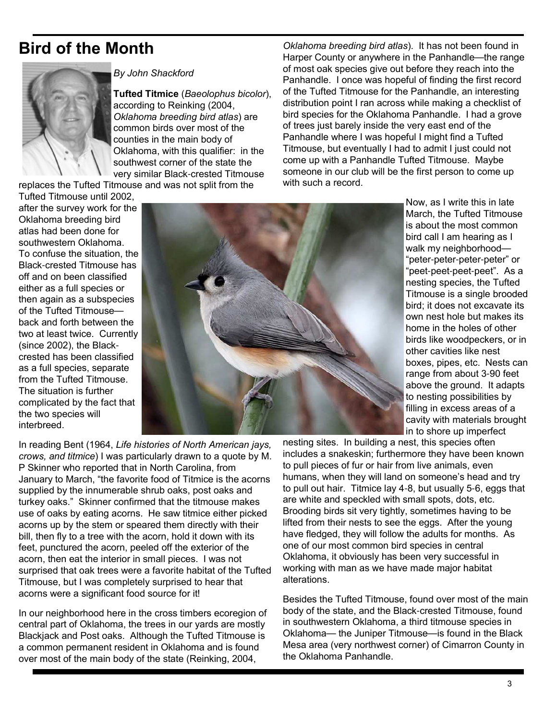### **Bird of the Month**



*By John Shackford*

**Tufted Titmice** (*Baeolophus bicolor*), according to Reinking (2004, *Oklahoma breeding bird atlas*) are common birds over most of the counties in the main body of Oklahoma, with this qualifier: in the southwest corner of the state the very similar Black-crested Titmouse

replaces the Tufted Titmouse and was not split from the

Tufted Titmouse until 2002, after the survey work for the Oklahoma breeding bird atlas had been done for southwestern Oklahoma. To confuse the situation, the Black-crested Titmouse has off and on been classified either as a full species or then again as a subspecies of the Tufted Titmouse back and forth between the two at least twice. Currently (since 2002), the Blackcrested has been classified as a full species, separate from the Tufted Titmouse. The situation is further complicated by the fact that the two species will interbreed.



*Oklahoma breeding bird atlas*). It has not been found in Harper County or anywhere in the Panhandle—the range of most oak species give out before they reach into the Panhandle. I once was hopeful of finding the first record of the Tufted Titmouse for the Panhandle, an interesting distribution point I ran across while making a checklist of bird species for the Oklahoma Panhandle. I had a grove of trees just barely inside the very east end of the Panhandle where I was hopeful I might find a Tufted Titmouse, but eventually I had to admit I just could not come up with a Panhandle Tufted Titmouse. Maybe someone in our club will be the first person to come up with such a record.

> Now, as I write this in late March, the Tufted Titmouse is about the most common bird call I am hearing as I walk my neighborhood— "peter-peter-peter-peter" or "peet-peet-peet-peet". As a nesting species, the Tufted Titmouse is a single brooded bird; it does not excavate its own nest hole but makes its home in the holes of other birds like woodpeckers, or in other cavities like nest boxes, pipes, etc. Nests can range from about 3-90 feet above the ground. It adapts to nesting possibilities by filling in excess areas of a cavity with materials brought in to shore up imperfect

In reading Bent (1964, *Life histories of North American jays, crows, and titmice*) I was particularly drawn to a quote by M. P Skinner who reported that in North Carolina, from January to March, "the favorite food of Titmice is the acorns supplied by the innumerable shrub oaks, post oaks and turkey oaks." Skinner confirmed that the titmouse makes use of oaks by eating acorns. He saw titmice either picked acorns up by the stem or speared them directly with their bill, then fly to a tree with the acorn, hold it down with its feet, punctured the acorn, peeled off the exterior of the acorn, then eat the interior in small pieces. I was not surprised that oak trees were a favorite habitat of the Tufted Titmouse, but I was completely surprised to hear that acorns were a significant food source for it!

In our neighborhood here in the cross timbers ecoregion of central part of Oklahoma, the trees in our yards are mostly Blackjack and Post oaks. Although the Tufted Titmouse is a common permanent resident in Oklahoma and is found over most of the main body of the state (Reinking, 2004,

nesting sites. In building a nest, this species often includes a snakeskin; furthermore they have been known to pull pieces of fur or hair from live animals, even humans, when they will land on someone's head and try to pull out hair. Titmice lay 4-8, but usually 5-6, eggs that are white and speckled with small spots, dots, etc. Brooding birds sit very tightly, sometimes having to be lifted from their nests to see the eggs. After the young have fledged, they will follow the adults for months. As one of our most common bird species in central Oklahoma, it obviously has been very successful in working with man as we have made major habitat alterations.

Besides the Tufted Titmouse, found over most of the main body of the state, and the Black-crested Titmouse, found in southwestern Oklahoma, a third titmouse species in Oklahoma— the Juniper Titmouse—is found in the Black Mesa area (very northwest corner) of Cimarron County in the Oklahoma Panhandle.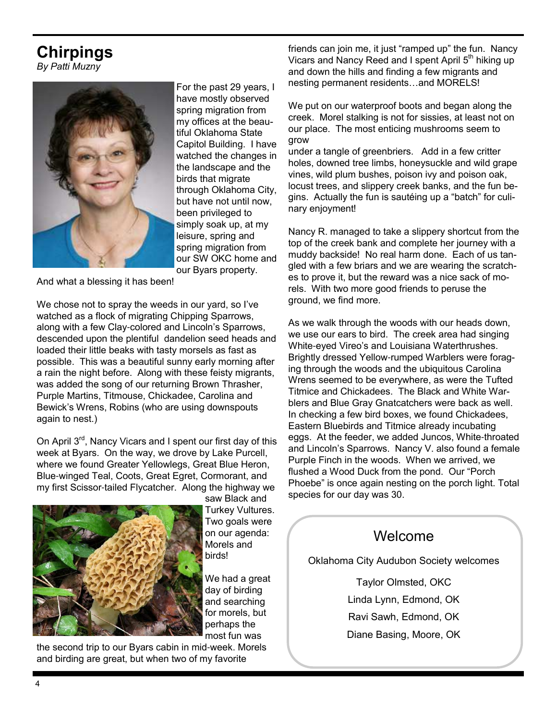### **Chirpings**

*By Patti Muzny*



For the past 29 years, I have mostly observed spring migration from my offices at the beautiful Oklahoma State Capitol Building. I have watched the changes in the landscape and the birds that migrate through Oklahoma City, but have not until now, been privileged to simply soak up, at my leisure, spring and spring migration from our SW OKC home and our Byars property.

And what a blessing it has been!

We chose not to spray the weeds in our yard, so I've watched as a flock of migrating Chipping Sparrows, along with a few Clay-colored and Lincoln's Sparrows, descended upon the plentiful dandelion seed heads and loaded their little beaks with tasty morsels as fast as possible. This was a beautiful sunny early morning after a rain the night before. Along with these feisty migrants, was added the song of our returning Brown Thrasher, Purple Martins, Titmouse, Chickadee, Carolina and Bewick's Wrens, Robins (who are using downspouts again to nest.)

On April 3rd, Nancy Vicars and I spent our first day of this week at Byars. On the way, we drove by Lake Purcell, where we found Greater Yellowlegs, Great Blue Heron, Blue-winged Teal, Coots, Great Egret, Cormorant, and my first Scissor-tailed Flycatcher. Along the highway we



saw Black and Turkey Vultures. Two goals were on our agenda: Morels and birds!

We had a great day of birding and searching for morels, but perhaps the most fun was

the second trip to our Byars cabin in mid-week. Morels and birding are great, but when two of my favorite

friends can join me, it just "ramped up" the fun. Nancy Vicars and Nancy Reed and I spent April 5<sup>th</sup> hiking up and down the hills and finding a few migrants and nesting permanent residents…and MORELS!

We put on our waterproof boots and began along the creek. Morel stalking is not for sissies, at least not on our place. The most enticing mushrooms seem to grow

under a tangle of greenbriers. Add in a few critter holes, downed tree limbs, honeysuckle and wild grape vines, wild plum bushes, poison ivy and poison oak, locust trees, and slippery creek banks, and the fun begins. Actually the fun is sautéing up a "batch" for culinary enjoyment!

Nancy R. managed to take a slippery shortcut from the top of the creek bank and complete her journey with a muddy backside! No real harm done. Each of us tangled with a few briars and we are wearing the scratches to prove it, but the reward was a nice sack of morels. With two more good friends to peruse the ground, we find more.

As we walk through the woods with our heads down, we use our ears to bird. The creek area had singing White-eyed Vireo's and Louisiana Waterthrushes. Brightly dressed Yellow-rumped Warblers were foraging through the woods and the ubiquitous Carolina Wrens seemed to be everywhere, as were the Tufted Titmice and Chickadees. The Black and White Warblers and Blue Gray Gnatcatchers were back as well. In checking a few bird boxes, we found Chickadees, Eastern Bluebirds and Titmice already incubating eggs. At the feeder, we added Juncos, White-throated and Lincoln's Sparrows. Nancy V. also found a female Purple Finch in the woods. When we arrived, we flushed a Wood Duck from the pond. Our "Porch Phoebe" is once again nesting on the porch light. Total species for our day was 30.

### Welcome

Oklahoma City Audubon Society welcomes

Taylor Olmsted, OKC Linda Lynn, Edmond, OK Ravi Sawh, Edmond, OK Diane Basing, Moore, OK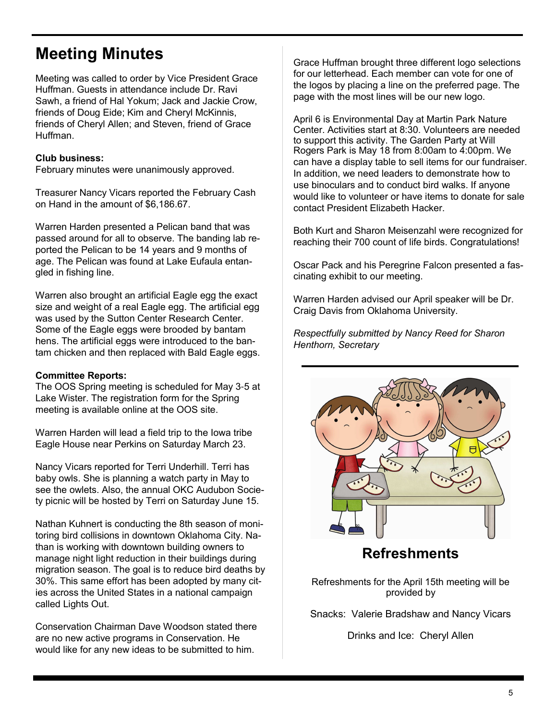### **Meeting Minutes**

Meeting was called to order by Vice President Grace Huffman. Guests in attendance include Dr. Ravi Sawh, a friend of Hal Yokum; Jack and Jackie Crow, friends of Doug Eide; Kim and Cheryl McKinnis, friends of Cheryl Allen; and Steven, friend of Grace Huffman.

#### **Club business:**

February minutes were unanimously approved.

Treasurer Nancy Vicars reported the February Cash on Hand in the amount of \$6,186.67.

Warren Harden presented a Pelican band that was passed around for all to observe. The banding lab reported the Pelican to be 14 years and 9 months of age. The Pelican was found at Lake Eufaula entangled in fishing line.

Warren also brought an artificial Eagle egg the exact size and weight of a real Eagle egg. The artificial egg was used by the Sutton Center Research Center. Some of the Eagle eggs were brooded by bantam hens. The artificial eggs were introduced to the bantam chicken and then replaced with Bald Eagle eggs.

#### **Committee Reports:**

The OOS Spring meeting is scheduled for May 3-5 at Lake Wister. The registration form for the Spring meeting is available online at the OOS site.

Warren Harden will lead a field trip to the Iowa tribe Eagle House near Perkins on Saturday March 23.

Nancy Vicars reported for Terri Underhill. Terri has baby owls. She is planning a watch party in May to see the owlets. Also, the annual OKC Audubon Society picnic will be hosted by Terri on Saturday June 15.

Nathan Kuhnert is conducting the 8th season of monitoring bird collisions in downtown Oklahoma City. Nathan is working with downtown building owners to manage night light reduction in their buildings during migration season. The goal is to reduce bird deaths by 30%. This same effort has been adopted by many cities across the United States in a national campaign called Lights Out.

Conservation Chairman Dave Woodson stated there are no new active programs in Conservation. He would like for any new ideas to be submitted to him.

Grace Huffman brought three different logo selections for our letterhead. Each member can vote for one of the logos by placing a line on the preferred page. The page with the most lines will be our new logo.

April 6 is Environmental Day at Martin Park Nature Center. Activities start at 8:30. Volunteers are needed to support this activity. The Garden Party at Will Rogers Park is May 18 from 8:00am to 4:00pm. We can have a display table to sell items for our fundraiser. In addition, we need leaders to demonstrate how to use binoculars and to conduct bird walks. If anyone would like to volunteer or have items to donate for sale contact President Elizabeth Hacker.

Both Kurt and Sharon Meisenzahl were recognized for reaching their 700 count of life birds. Congratulations!

Oscar Pack and his Peregrine Falcon presented a fascinating exhibit to our meeting.

Warren Harden advised our April speaker will be Dr. Craig Davis from Oklahoma University.

*Respectfully submitted by Nancy Reed for Sharon Henthorn, Secretary* 



### **Refreshments**

Refreshments for the April 15th meeting will be provided by

Snacks: Valerie Bradshaw and Nancy Vicars

Drinks and Ice: Cheryl Allen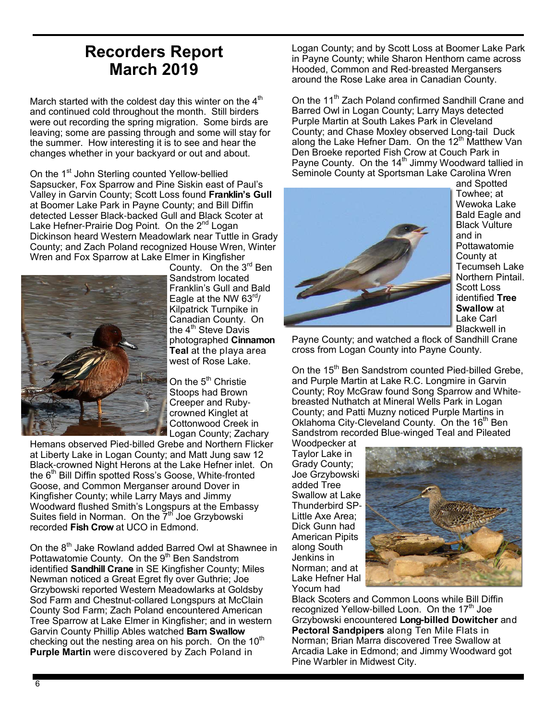### **Recorders Report March 2019**

March started with the coldest day this winter on the  $4<sup>th</sup>$ and continued cold throughout the month. Still birders were out recording the spring migration. Some birds are leaving; some are passing through and some will stay for the summer. How interesting it is to see and hear the changes whether in your backyard or out and about.

On the 1<sup>st</sup> John Sterling counted Yellow-bellied Sapsucker, Fox Sparrow and Pine Siskin east of Paul's Valley in Garvin County; Scott Loss found **Franklin's Gull** at Boomer Lake Park in Payne County; and Bill Diffin detected Lesser Black-backed Gull and Black Scoter at Lake Hefner-Prairie Dog Point. On the 2<sup>nd</sup> Logan Dickinson heard Western Meadowlark near Tuttle in Grady County; and Zach Poland recognized House Wren, Winter Wren and Fox Sparrow at Lake Elmer in Kingfisher



County. On the 3rd Ben Sandstrom located Franklin's Gull and Bald Eagle at the NW  $63<sup>rd</sup>$ Kilpatrick Turnpike in Canadian County. On the  $4<sup>th</sup>$  Steve Davis photographed **Cinnamon Teal** at the playa area west of Rose Lake.

On the 5<sup>th</sup> Christie Stoops had Brown Creeper and Rubycrowned Kinglet at Cottonwood Creek in Logan County; Zachary

Hemans observed Pied-billed Grebe and Northern Flicker at Liberty Lake in Logan County; and Matt Jung saw 12 Black-crowned Night Herons at the Lake Hefner inlet. On the 6<sup>th</sup> Bill Diffin spotted Ross's Goose, White-fronted Goose, and Common Merganser around Dover in Kingfisher County; while Larry Mays and Jimmy Woodward flushed Smith's Longspurs at the Embassy Suites field in Norman. On the  $\overline{7}^{\text{th}}$  Joe Grzybowski recorded **Fish Crow** at UCO in Edmond.

On the 8<sup>th</sup> Jake Rowland added Barred Owl at Shawnee in Pottawatomie County. On the 9<sup>th</sup> Ben Sandstrom identified **Sandhill Crane** in SE Kingfisher County; Miles Newman noticed a Great Egret fly over Guthrie; Joe Grzybowski reported Western Meadowlarks at Goldsby Sod Farm and Chestnut-collared Longspurs at McClain County Sod Farm; Zach Poland encountered American Tree Sparrow at Lake Elmer in Kingfisher; and in western Garvin County Phillip Ables watched **Barn Swallow** checking out the nesting area on his porch. On the  $10^{th}$ **Purple Martin** were discovered by Zach Poland in

Logan County; and by Scott Loss at Boomer Lake Park in Payne County; while Sharon Henthorn came across Hooded, Common and Red-breasted Mergansers around the Rose Lake area in Canadian County.

On the 11<sup>th</sup> Zach Poland confirmed Sandhill Crane and Barred Owl in Logan County; Larry Mays detected Purple Martin at South Lakes Park in Cleveland County; and Chase Moxley observed Long-tail Duck along the Lake Hefner Dam. On the  $12<sup>th</sup>$  Matthew Van Den Broeke reported Fish Crow at Couch Park in Payne County. On the 14<sup>th</sup> Jimmy Woodward tallied in Seminole County at Sportsman Lake Carolina Wren



and Spotted Towhee; at Wewoka Lake Bald Eagle and Black Vulture and in Pottawatomie County at Tecumseh Lake Northern Pintail. Scott Loss identified **Tree Swallow** at Lake Carl Blackwell in

Payne County; and watched a flock of Sandhill Crane cross from Logan County into Payne County.

On the 15<sup>th</sup> Ben Sandstrom counted Pied-billed Grebe, and Purple Martin at Lake R.C. Longmire in Garvin County; Roy McGraw found Song Sparrow and Whitebreasted Nuthatch at Mineral Wells Park in Logan County; and Patti Muzny noticed Purple Martins in Oklahoma City-Cleveland County. On the 16<sup>th</sup> Ben Sandstrom recorded Blue-winged Teal and Pileated

Woodpecker at Taylor Lake in Grady County; Joe Grzybowski added Tree Swallow at Lake Thunderbird SP-Little Axe Area; Dick Gunn had American Pipits along South Jenkins in Norman; and at Lake Hefner Hal Yocum had



Black Scoters and Common Loons while Bill Diffin recognized Yellow-billed Loon. On the  $17<sup>th</sup>$  Joe Grzybowski encountered **Long-billed Dowitcher** and **Pectoral Sandpipers** along Ten Mile Flats in Norman; Brian Marra discovered Tree Swallow at Arcadia Lake in Edmond; and Jimmy Woodward got Pine Warbler in Midwest City.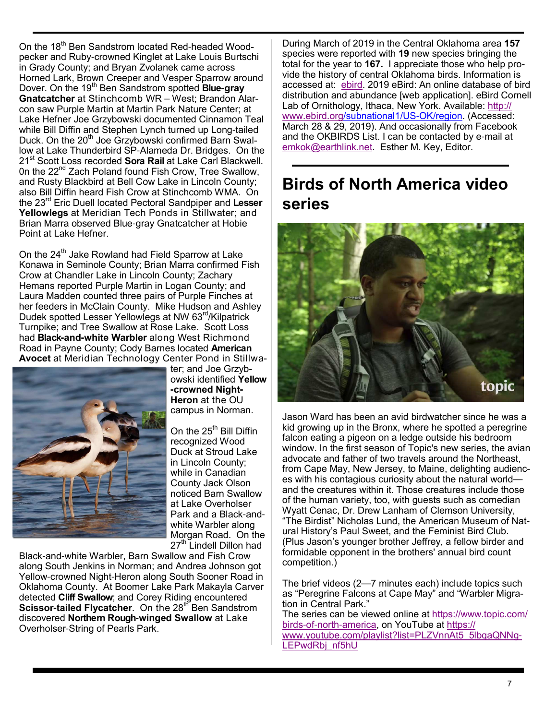On the 18<sup>th</sup> Ben Sandstrom located Red-headed Woodpecker and Ruby-crowned Kinglet at Lake Louis Burtschi in Grady County; and Bryan Zvolanek came across Horned Lark, Brown Creeper and Vesper Sparrow around Dover. On the 19th Ben Sandstrom spotted **Blue-gray Gnatcatcher** at Stinchcomb WR – West; Brandon Alarcon saw Purple Martin at Martin Park Nature Center; at Lake Hefner Joe Grzybowski documented Cinnamon Teal while Bill Diffin and Stephen Lynch turned up Long-tailed Duck. On the 20<sup>th</sup> Joe Grzybowski confirmed Barn Swallow at Lake Thunderbird SP-Alameda Dr. Bridges. On the 21st Scott Loss recorded **Sora Rail** at Lake Carl Blackwell. On the 22<sup>nd</sup> Zach Poland found Fish Crow, Tree Swallow, and Rusty Blackbird at Bell Cow Lake in Lincoln County; also Bill Diffin heard Fish Crow at Stinchcomb WMA. On the 23rd Eric Duell located Pectoral Sandpiper and **Lesser Yellowlegs** at Meridian Tech Ponds in Stillwater; and Brian Marra observed Blue-gray Gnatcatcher at Hobie Point at Lake Hefner.

On the 24<sup>th</sup> Jake Rowland had Field Sparrow at Lake Konawa in Seminole County; Brian Marra confirmed Fish Crow at Chandler Lake in Lincoln County; Zachary Hemans reported Purple Martin in Logan County; and Laura Madden counted three pairs of Purple Finches at her feeders in McClain County. Mike Hudson and Ashley Dudek spotted Lesser Yellowlegs at NW 63rd/Kilpatrick Turnpike; and Tree Swallow at Rose Lake. Scott Loss had **Black-and-white Warbler** along West Richmond Road in Payne County; Cody Barnes located **American Avocet** at Meridian Technology Center Pond in Stillwa-



ter; and Joe Grzybowski identified **Yellow -crowned Night-Heron** at the OU campus in Norman.

On the 25 $^{\text{th}}$  Bill Diffin recognized Wood Duck at Stroud Lake in Lincoln County; while in Canadian County Jack Olson noticed Barn Swallow at Lake Overholser Park and a Black-andwhite Warbler along Morgan Road. On the 27<sup>th</sup> Lindell Dillon had

Black-and-white Warbler, Barn Swallow and Fish Crow along South Jenkins in Norman; and Andrea Johnson got Yellow-crowned Night-Heron along South Sooner Road in Oklahoma County. At Boomer Lake Park Makayla Carver detected **Cliff Swallow**; and Corey Riding encountered **Scissor-tailed Flycatcher.** On the 28<sup>th</sup> Ben Sandstrom discovered **Northern Rough-winged Swallow** at Lake Overholser-String of Pearls Park.

During March of 2019 in the Central Oklahoma area **157** species were reported with **19** new species bringing the total for the year to **167.** I appreciate those who help provide the history of central Oklahoma birds. Information is accessed at: ebird. 2019 eBird: An online database of bird distribution and abundance [web application]. eBird Cornell Lab of Ornithology, Ithaca, New York. Available: http:// www.ebird.org/subnational1/US-OK/region. (Accessed: March 28 & 29, 2019). And occasionally from Facebook and the OKBIRDS List. I can be contacted by e-mail at emkok@earthlink.net. Esther M. Key, Editor.

### **Birds of North America video series**



Jason Ward has been an avid birdwatcher since he was a kid growing up in the Bronx, where he spotted a peregrine falcon eating a pigeon on a ledge outside his bedroom window. In the first season of Topic's new series, the avian advocate and father of two travels around the Northeast, from Cape May, New Jersey, to Maine, delighting audiences with his contagious curiosity about the natural world and the creatures within it. Those creatures include those of the human variety, too, with guests such as comedian Wyatt Cenac, Dr. Drew Lanham of Clemson University, "The Birdist" Nicholas Lund, the American Museum of Natural History's Paul Sweet, and the Feminist Bird Club. (Plus Jason's younger brother Jeffrey, a fellow birder and formidable opponent in the brothers' annual bird count competition.)

The brief videos (2—7 minutes each) include topics such as "Peregrine Falcons at Cape May" and "Warbler Migration in Central Park."

The series can be viewed online at https://www.topic.com/ birds-of-north-america, on YouTube at https:// www.youtube.com/playlist?list=PLZVnnAt5\_5lbqaQNNg-LEPwdRbj\_nf5hU